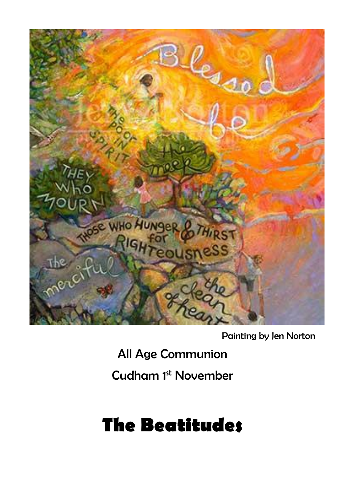

Painting by Jen Norton

All Age Communion

Cudham 1st November

# **The Beatitudes**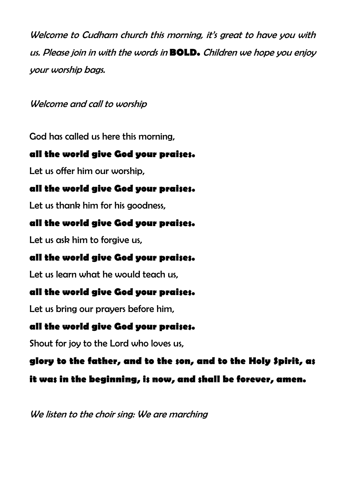Welcome to Cudham church this morning, it's great to have you with us. Please join in with the words in **BOLD.** Children we hope you enjoy your worship bags.

Welcome and call to worship

God has called us here this morning,

## **all the world give God your praises.**

Let us offer him our worship,

# **all the world give God your praises.**

Let us thank him for his goodness,

# **all the world give God your praises.**

Let us ask him to forgive us,

# **all the world give God your praises.**

Let us learn what he would teach us,

# **all the world give God your praises.**

Let us bring our prayers before him,

# **all the world give God your praises.**

Shout for joy to the Lord who loves us,

# **glory to the father, and to the son, and to the Holy Spirit, as**

**it was in the beginning, is now, and shall be forever, amen.** 

We listen to the choir sing: We are marching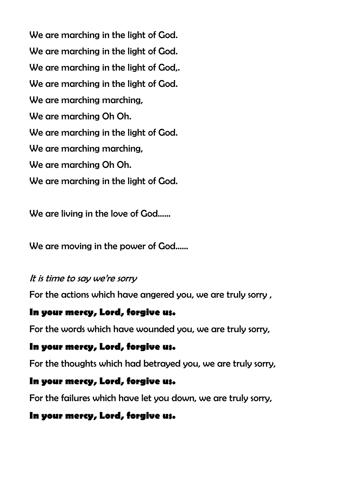We are marching in the light of God. We are marching in the light of God. We are marching in the light of God.. We are marching in the light of God. We are marching marching, We are marching Oh Oh. We are marching in the light of God. We are marching marching, We are marching Oh Oh. We are marching in the light of God.

We are living in the love of God……

We are moving in the power of God……

#### It is time to say we're sorry

For the actions which have angered you, we are truly sorry ,

#### **In your mercy, Lord, forgive us.**

For the words which have wounded you, we are truly sorry,

#### **In your mercy, Lord, forgive us.**

For the thoughts which had betrayed you, we are truly sorry,

#### **In your mercy, Lord, forgive us.**

For the failures which have let you down, we are truly sorry,

#### **In your mercy, Lord, forgive us.**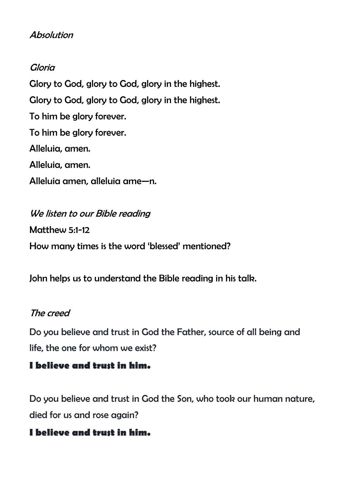### **Absolution**

#### Gloria

Glory to God, glory to God, glory in the highest. Glory to God, glory to God, glory in the highest. To him be glory forever. To him be glory forever. Alleluia, amen. Alleluia, amen. Alleluia amen, alleluia ame—n.

We listen to our Bible reading Matthew 5:1-12 How many times is the word 'blessed' mentioned?

John helps us to understand the Bible reading in his talk.

#### The creed

Do you believe and trust in God the Father, source of all being and life, the one for whom we exist?

#### **I believe and trust in him.**

Do you believe and trust in God the Son, who took our human nature, died for us and rose again?

#### **I believe and trust in him.**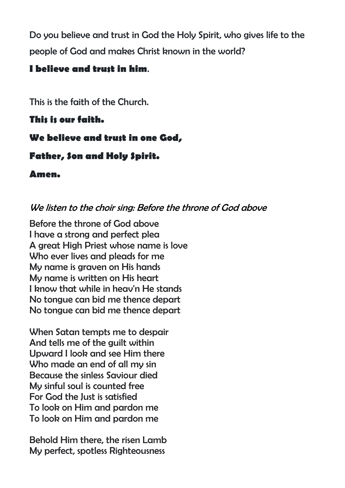Do you believe and trust in God the Holy Spirit, who gives life to the people of God and makes Christ known in the world?

## **I believe and trust in him**.

This is the faith of the Church.

#### **This is our faith.**

## **We believe and trust in one God,**

## **Father, Son and Holy Spirit.**

**Amen.**

## We listen to the choir sing: Before the throne of God above

Before the throne of God above I have a strong and perfect plea A great High Priest whose name is love Who ever lives and pleads for me My name is graven on His hands My name is written on His heart I know that while in heav'n He stands No tongue can bid me thence depart No tongue can bid me thence depart

When Satan tempts me to despair And tells me of the guilt within Upward I look and see Him there Who made an end of all my sin Because the sinless Saviour died My sinful soul is counted free For God the Just is satisfied To look on Him and pardon me To look on Him and pardon me

Behold Him there, the risen Lamb My perfect, spotless Righteousness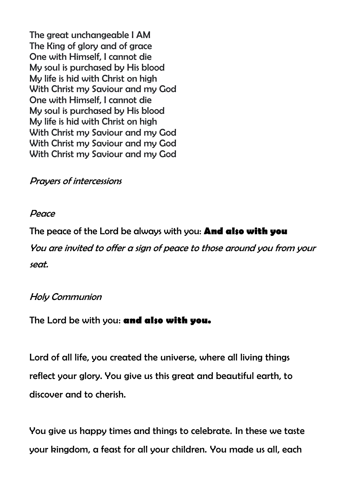The great unchangeable I AM The King of glory and of grace One with Himself, I cannot die My soul is purchased by His blood My life is hid with Christ on high With Christ my Saviour and my God One with Himself, I cannot die My soul is purchased by His blood My life is hid with Christ on high With Christ my Saviour and my God With Christ my Saviour and my God With Christ my Saviour and my God

#### Prayers of intercessions

#### Peace

The peace of the Lord be always with you: **And also with you**

You are invited to offer a sign of peace to those around you from your seat.

#### Holy Communion

#### The Lord be with you: **and also with you.**

Lord of all life, you created the universe, where all living things reflect your glory. You give us this great and beautiful earth, to discover and to cherish.

You give us happy times and things to celebrate. In these we taste your kingdom, a feast for all your children. You made us all, each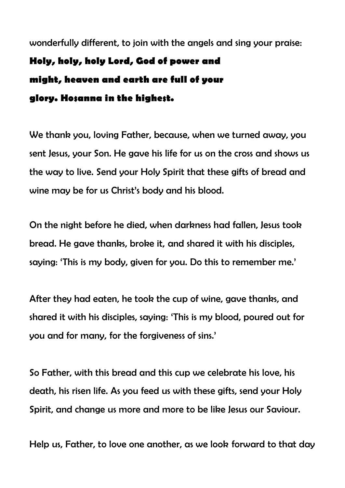wonderfully different, to join with the angels and sing your praise: **Holy, holy, holy Lord, God of power and might, heaven and earth are full of your glory. Hosanna in the highest.**

We thank you, loving Father, because, when we turned away, you sent Jesus, your Son. He gave his life for us on the cross and shows us the way to live. Send your Holy Spirit that these gifts of bread and wine may be for us Christ's body and his blood.

On the night before he died, when darkness had fallen, Jesus took bread. He gave thanks, broke it, and shared it with his disciples, saying: 'This is my body, given for you. Do this to remember me.'

After they had eaten, he took the cup of wine, gave thanks, and shared it with his disciples, saying: 'This is my blood, poured out for you and for many, for the forgiveness of sins.'

So Father, with this bread and this cup we celebrate his love, his death, his risen life. As you feed us with these gifts, send your Holy Spirit, and change us more and more to be like Jesus our Saviour.

Help us, Father, to love one another, as we look forward to that day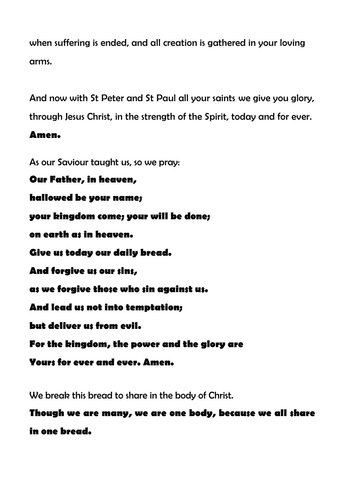when suffering is ended, and all creation is gathered in your loving arms.

And now with St Peter and St Paul all your saints we give you glory,

through Jesus Christ, in the strength of the Spirit, today and for ever.

#### **Amen.**

As our Saviour taught us, so we pray:

**Our Father, in heaven, hallowed be your name; your kingdom come; your will be done; on earth as in heaven. Give us today our daily bread. And forgive us our sins, as we forgive those who sin against us. And lead us not into temptation; but deliver us from evil. For the kingdom, the power and the glory are Yours for ever and ever. Amen.**

We break this bread to share in the body of Christ.

**Though we are many, we are one body, because we all share in one bread.**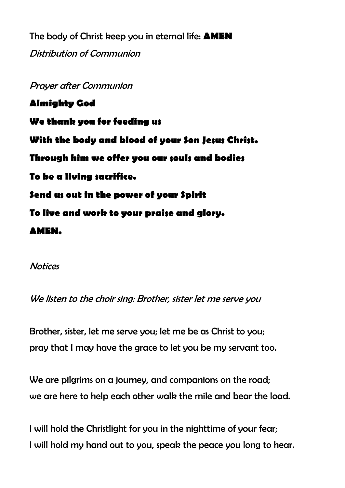The body of Christ keep you in eternal life: **AMEN** Distribution of Communion

Prayer after Communion **Almighty God We thank you for feeding us With the body and blood of your Son Jesus Christ. Through him we offer you our souls and bodies To be a living sacrifice. Send us out in the power of your Spirit To live and work to your praise and glory. AMEN.**

**Notices** 

We listen to the choir sing: Brother, sister let me serve you

Brother, sister, let me serve you; let me be as Christ to you; pray that I may have the grace to let you be my servant too.

We are pilgrims on a journey, and companions on the road: we are here to help each other walk the mile and bear the load.

I will hold the Christlight for you in the nighttime of your fear; I will hold my hand out to you, speak the peace you long to hear.